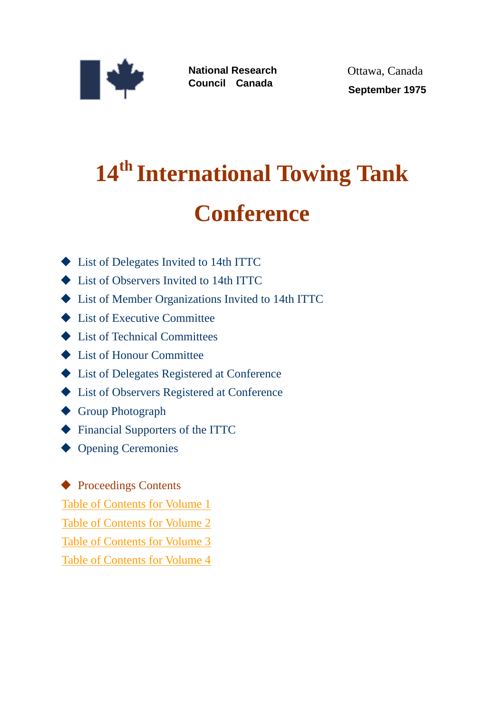

**National Research Council Canada**

Ottawa, Canada  **September 1975**

## **14th International Towing Tank Conference**

- ◆ List of Delegates Invited to 14th ITTC
- ◆ List of Observers Invited to 14th ITTC
- ◆ List of Member Organizations Invited to 14th ITTC
- **◆ List of Executive Committee**
- **◆ List of Technical Committees**
- ◆ List of Honour Committee
- ◆ List of Delegates Registered at Conference
- ◆ List of Observers Registered at Conference
- ◆ Group Photograph
- [Financial Supporters of the ITTC](http://ittc.info/media/3205/fs.pdf)
- ◆ Opening Ceremonies

◆ Proceedings Contents

[Table of Contents for Volume 1](#page-1-0)

[Table of Contents for Volume 2](#page-1-0)

[Table of Contents for Volume 3](#page-1-0)

[Table of Contents for Volume 4](#page-1-0)